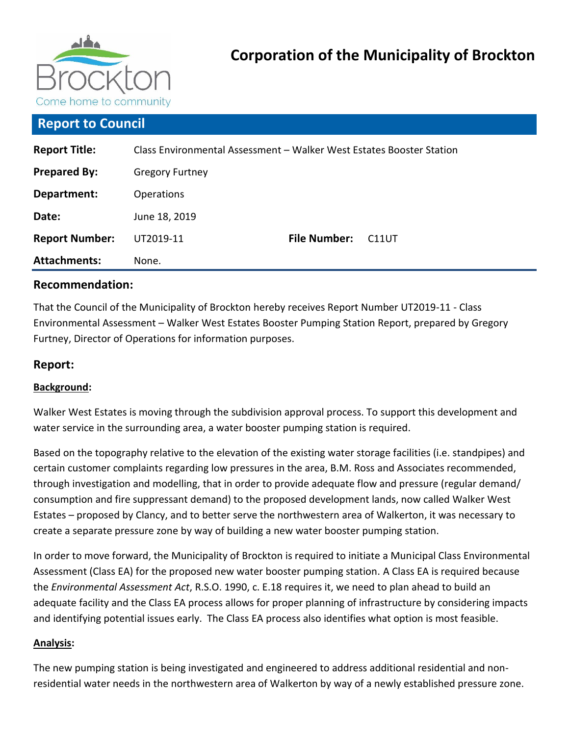

# **Report to Council**

| <b>Report Title:</b>  | Class Environmental Assessment - Walker West Estates Booster Station |                     |                    |  |
|-----------------------|----------------------------------------------------------------------|---------------------|--------------------|--|
| <b>Prepared By:</b>   | <b>Gregory Furtney</b>                                               |                     |                    |  |
| Department:           | <b>Operations</b>                                                    |                     |                    |  |
| Date:                 | June 18, 2019                                                        |                     |                    |  |
| <b>Report Number:</b> | UT2019-11                                                            | <b>File Number:</b> | C <sub>11</sub> UT |  |
| <b>Attachments:</b>   | None.                                                                |                     |                    |  |

## **Recommendation:**

That the Council of the Municipality of Brockton hereby receives Report Number UT2019-11 - Class Environmental Assessment – Walker West Estates Booster Pumping Station Report, prepared by Gregory Furtney, Director of Operations for information purposes.

## **Report:**

## **Background:**

Walker West Estates is moving through the subdivision approval process. To support this development and water service in the surrounding area, a water booster pumping station is required.

Based on the topography relative to the elevation of the existing water storage facilities (i.e. standpipes) and certain customer complaints regarding low pressures in the area, B.M. Ross and Associates recommended, through investigation and modelling, that in order to provide adequate flow and pressure (regular demand/ consumption and fire suppressant demand) to the proposed development lands, now called Walker West Estates – proposed by Clancy, and to better serve the northwestern area of Walkerton, it was necessary to create a separate pressure zone by way of building a new water booster pumping station.

In order to move forward, the Municipality of Brockton is required to initiate a Municipal Class Environmental Assessment (Class EA) for the proposed new water booster pumping station. A Class EA is required because the *Environmental Assessment Act*, R.S.O. 1990, c. E.18 requires it, we need to plan ahead to build an adequate facility and the Class EA process allows for proper planning of infrastructure by considering impacts and identifying potential issues early. The Class EA process also identifies what option is most feasible.

#### **Analysis:**

The new pumping station is being investigated and engineered to address additional residential and nonresidential water needs in the northwestern area of Walkerton by way of a newly established pressure zone.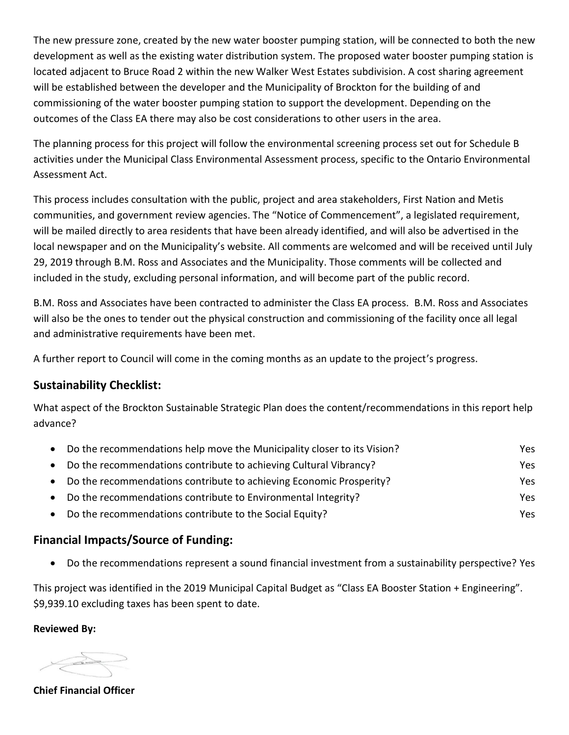The new pressure zone, created by the new water booster pumping station, will be connected to both the new development as well as the existing water distribution system. The proposed water booster pumping station is located adjacent to Bruce Road 2 within the new Walker West Estates subdivision. A cost sharing agreement will be established between the developer and the Municipality of Brockton for the building of and commissioning of the water booster pumping station to support the development. Depending on the outcomes of the Class EA there may also be cost considerations to other users in the area.

The planning process for this project will follow the environmental screening process set out for Schedule B activities under the Municipal Class Environmental Assessment process, specific to the Ontario Environmental Assessment Act.

This process includes consultation with the public, project and area stakeholders, First Nation and Metis communities, and government review agencies. The "Notice of Commencement", a legislated requirement, will be mailed directly to area residents that have been already identified, and will also be advertised in the local newspaper and on the Municipality's website. All comments are welcomed and will be received until July 29, 2019 through B.M. Ross and Associates and the Municipality. Those comments will be collected and included in the study, excluding personal information, and will become part of the public record.

B.M. Ross and Associates have been contracted to administer the Class EA process. B.M. Ross and Associates will also be the ones to tender out the physical construction and commissioning of the facility once all legal and administrative requirements have been met.

A further report to Council will come in the coming months as an update to the project's progress.

# **Sustainability Checklist:**

What aspect of the Brockton Sustainable Strategic Plan does the content/recommendations in this report help advance?

| Do the recommendations help move the Municipality closer to its Vision? | Yes. |
|-------------------------------------------------------------------------|------|
| Do the recommendations contribute to achieving Cultural Vibrancy?       | Yes. |
| Do the recommendations contribute to achieving Economic Prosperity?     | Yes. |
| Do the recommendations contribute to Environmental Integrity?           | Yes. |
| Do the recommendations contribute to the Social Equity?                 | Yes. |

## **Financial Impacts/Source of Funding:**

Do the recommendations represent a sound financial investment from a sustainability perspective? Yes

This project was identified in the 2019 Municipal Capital Budget as "Class EA Booster Station + Engineering". \$9,939.10 excluding taxes has been spent to date.

**Reviewed By:**

Took

**Chief Financial Officer**